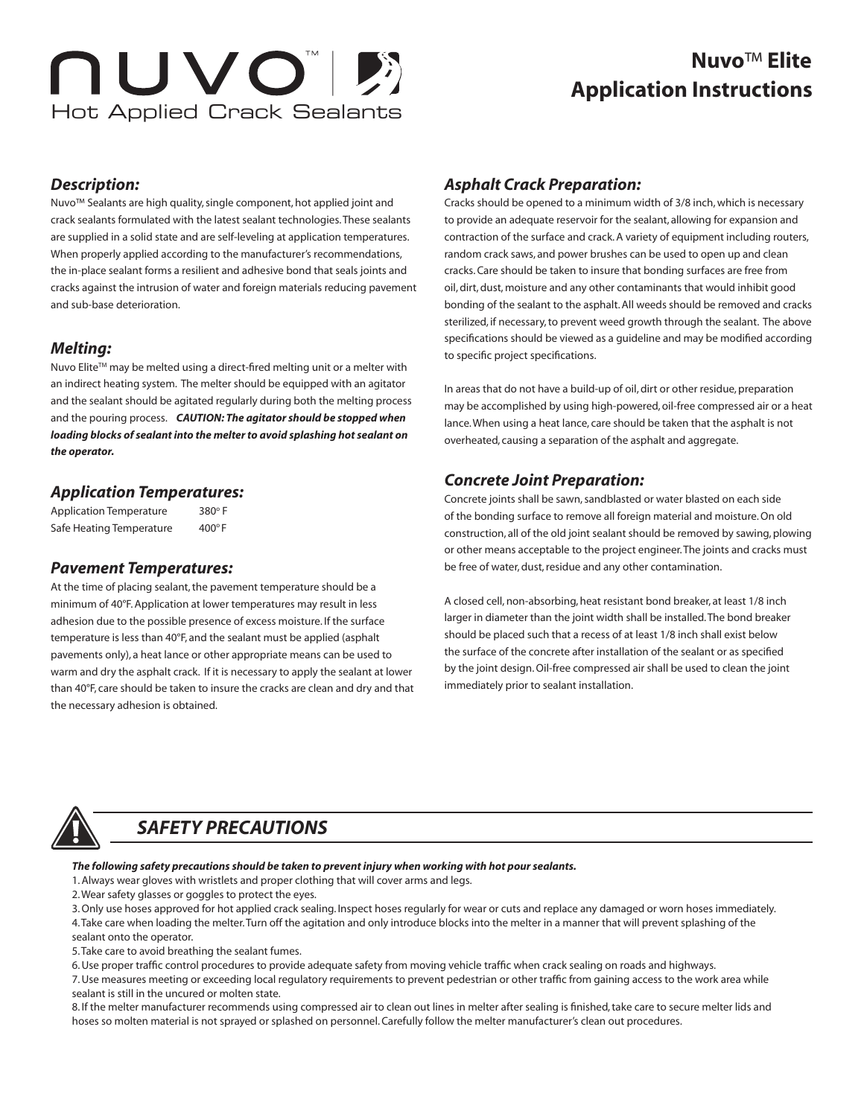# NUVOII Hot Applied Crack Sealants

## **Application Instructions Nuvo**™ **Elite**

#### *Description:*

Nuvo™ Sealants are high quality, single component, hot applied joint and crack sealants formulated with the latest sealant technologies. These sealants are supplied in a solid state and are self-leveling at application temperatures. When properly applied according to the manufacturer's recommendations, the in-place sealant forms a resilient and adhesive bond that seals joints and cracks against the intrusion of water and foreign materials reducing pavement and sub-base deterioration.

## *Melting:*

Nuvo Elite™ may be melted using a direct-fired melting unit or a melter with an indirect heating system. The melter should be equipped with an agitator and the sealant should be agitated regularly during both the melting process and the pouring process. *CAUTION: The agitator should be stopped when loading blocks of sealant into the melter to avoid splashing hot sealant on the operator.* 

## *Application Temperatures:*

Application Temperature 380°F Safe Heating Temperature 400°F

## *Pavement Temperatures:*

At the time of placing sealant, the pavement temperature should be a minimum of 40°F. Application at lower temperatures may result in less adhesion due to the possible presence of excess moisture. If the surface temperature is less than 40°F, and the sealant must be applied (asphalt pavements only), a heat lance or other appropriate means can be used to warm and dry the asphalt crack. If it is necessary to apply the sealant at lower than 40°F, care should be taken to insure the cracks are clean and dry and that the necessary adhesion is obtained.

## *Asphalt Crack Preparation:*

Cracks should be opened to a minimum width of 3/8 inch, which is necessary to provide an adequate reservoir for the sealant, allowing for expansion and contraction of the surface and crack. A variety of equipment including routers, random crack saws, and power brushes can be used to open up and clean cracks. Care should be taken to insure that bonding surfaces are free from oil, dirt, dust, moisture and any other contaminants that would inhibit good bonding of the sealant to the asphalt. All weeds should be removed and cracks sterilized, if necessary, to prevent weed growth through the sealant. The above specifications should be viewed as a guideline and may be modified according to specific project specifications.

In areas that do not have a build-up of oil, dirt or other residue, preparation may be accomplished by using high-powered, oil-free compressed air or a heat lance. When using a heat lance, care should be taken that the asphalt is not overheated, causing a separation of the asphalt and aggregate.

## *Concrete Joint Preparation:*

Concrete joints shall be sawn, sandblasted or water blasted on each side of the bonding surface to remove all foreign material and moisture. On old construction, all of the old joint sealant should be removed by sawing, plowing or other means acceptable to the project engineer. The joints and cracks must be free of water, dust, residue and any other contamination.

A closed cell, non-absorbing, heat resistant bond breaker, at least 1/8 inch larger in diameter than the joint width shall be installed. The bond breaker should be placed such that a recess of at least 1/8 inch shall exist below the surface of the concrete after installation of the sealant or as specified by the joint design. Oil-free compressed air shall be used to clean the joint immediately prior to sealant installation.



## *SAFETY PRECAUTIONS*

*The following safety precautions should be taken to prevent injury when working with hot pour sealants.*

- 1. Always wear gloves with wristlets and proper clothing that will cover arms and legs.
- 2. Wear safety glasses or goggles to protect the eyes.

3. Only use hoses approved for hot applied crack sealing. Inspect hoses regularly for wear or cuts and replace any damaged or worn hoses immediately. 4. Take care when loading the melter. Turn off the agitation and only introduce blocks into the melter in a manner that will prevent splashing of the sealant onto the operator.

5. Take care to avoid breathing the sealant fumes.

6. Use proper traffic control procedures to provide adequate safety from moving vehicle traffic when crack sealing on roads and highways.

7. Use measures meeting or exceeding local regulatory requirements to prevent pedestrian or other traffic from gaining access to the work area while sealant is still in the uncured or molten state.

8. If the melter manufacturer recommends using compressed air to clean out lines in melter after sealing is finished, take care to secure melter lids and hoses so molten material is not sprayed or splashed on personnel. Carefully follow the melter manufacturer's clean out procedures.